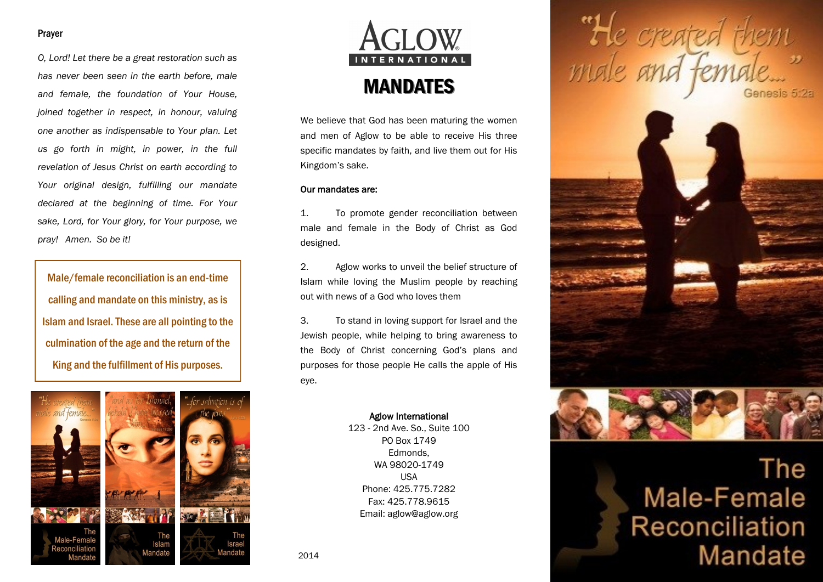### Prayer

*O, Lord! Let there be a great restoration such as has never been seen in the earth before, male and female, the foundation of Your House, joined together in respect, in honour, valuing one another as indispensable to Your plan. Let us go forth in might, in power, in the full revelation of Jesus Christ on earth according to Your original design, fulfilling our mandate declared at the beginning of time. For Your sake, Lord, for Your glory, for Your purpose, we pray! Amen. So be it!*

Male/female reconciliation is an end-time calling and mandate on this ministry, as is Islam and Israel. These are all pointing to the culmination of the age and the return of the King and the fulfillment of His purposes.





We believe that God has been maturing the women and men of Aglow to be able to receive His three specific mandates by faith, and live them out for His Kingdom's sake.

### Our mandates are:

1. To promote gender reconciliation between male and female in the Body of Christ as God designed.

2. Aglow works to unveil the belief structure of Islam while loving the Muslim people by reaching out with news of a God who loves them

3. To stand in loving support for Israel and the Jewish people, while helping to bring awareness to the Body of Christ concerning God's plans and purposes for those people He calls the apple of His eye.

## Aglow International

123 - 2nd Ave. So., Suite 100 PO Box 1749 Edmonds, WA 98020-1749 USA Phone: 425.775.7282 Fax: 425.778.9615 Email: aglow@aglow.org

He created th



# The Male-Female Reconciliation Mandate